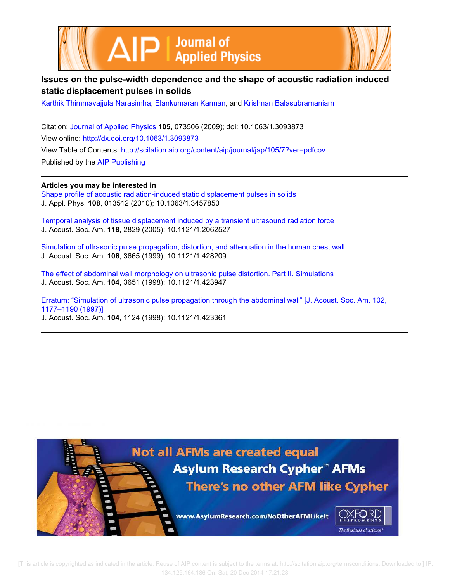



# **Issues on the pulse-width dependence and the shape of acoustic radiation induced static displacement pulses in solids**

Karthik Thimmavajjula Narasimha, Elankumaran Kannan, and Krishnan Balasubramaniam

Citation: Journal of Applied Physics **105**, 073506 (2009); doi: 10.1063/1.3093873 View online: http://dx.doi.org/10.1063/1.3093873 View Table of Contents: http://scitation.aip.org/content/aip/journal/jap/105/7?ver=pdfcov Published by the AIP Publishing

**Articles you may be interested in** Shape profile of acoustic radiation-induced static displacement pulses in solids J. Appl. Phys. **108**, 013512 (2010); 10.1063/1.3457850

Temporal analysis of tissue displacement induced by a transient ultrasound radiation force J. Acoust. Soc. Am. **118**, 2829 (2005); 10.1121/1.2062527

Simulation of ultrasonic pulse propagation, distortion, and attenuation in the human chest wall J. Acoust. Soc. Am. **106**, 3665 (1999); 10.1121/1.428209

The effect of abdominal wall morphology on ultrasonic pulse distortion. Part II. Simulations J. Acoust. Soc. Am. **104**, 3651 (1998); 10.1121/1.423947

Erratum: "Simulation of ultrasonic pulse propagation through the abdominal wall" [J. Acoust. Soc. Am. 102, 1177–1190 (1997)]

J. Acoust. Soc. Am. **104**, 1124 (1998); 10.1121/1.423361

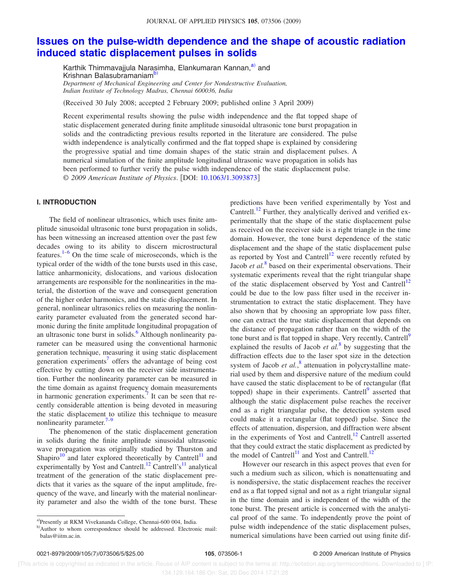# **Issues on the pulse-width dependence and the shape of acoustic radiation induced static displacement pulses in solids**

Karthik Thimmavajjula Narasimha, Elankumaran Kannan,<sup>a)</sup> and Krishnan Balasubramaniam<sup>b</sup> *Department of Mechanical Engineering and Center for Nondestructive Evaluation, Indian Institute of Technology Madras, Chennai 600036, India*

Received 30 July 2008; accepted 2 February 2009; published online 3 April 2009-

Recent experimental results showing the pulse width independence and the flat topped shape of static displacement generated during finite amplitude sinusoidal ultrasonic tone burst propagation in solids and the contradicting previous results reported in the literature are considered. The pulse width independence is analytically confirmed and the flat topped shape is explained by considering the progressive spatial and time domain shapes of the static strain and displacement pulses. A numerical simulation of the finite amplitude longitudinal ultrasonic wave propagation in solids has been performed to further verify the pulse width independence of the static displacement pulse. © 2009 American Institute of Physics. [DOI: 10.1063/1.3093873]

## **I. INTRODUCTION**

The field of nonlinear ultrasonics, which uses finite amplitude sinusoidal ultrasonic tone burst propagation in solids, has been witnessing an increased attention over the past few decades owing to its ability to discern microstructural features. $1-6$  On the time scale of microseconds, which is the typical order of the width of the tone bursts used in this case, lattice anharmonicity, dislocations, and various dislocation arrangements are responsible for the nonlinearities in the material, the distortion of the wave and consequent generation of the higher order harmonics, and the static displacement. In general, nonlinear ultrasonics relies on measuring the nonlinearity parameter evaluated from the generated second harmonic during the finite amplitude longitudinal propagation of an ultrasonic tone burst in solids.<sup>6</sup> Although nonlinearity parameter can be measured using the conventional harmonic generation technique, measuring it using static displacement generation experiments<sup>7</sup> offers the advantage of being cost effective by cutting down on the receiver side instrumentation. Further the nonlinearity parameter can be measured in the time domain as against frequency domain measurements in harmonic generation experiments.<sup>7</sup> It can be seen that recently considerable attention is being devoted in measuring the static displacement to utilize this technique to measure nonlinearity parameter. $7-9$ 

The phenomenon of the static displacement generation in solids during the finite amplitude sinusoidal ultrasonic wave propagation was originally studied by Thurston and Shapiro $10^{10}$  and later explored theoretically by Cantrell<sup>11</sup> and experimentally by Yost and Cantrell.<sup>12</sup> Cantrell's<sup>11</sup> analytical treatment of the generation of the static displacement predicts that it varies as the square of the input amplitude, frequency of the wave, and linearly with the material nonlinearity parameter and also the width of the tone burst. These

predictions have been verified experimentally by Yost and Cantrell.<sup>12</sup> Further, they analytically derived and verified experimentally that the shape of the static displacement pulse as received on the receiver side is a right triangle in the time domain. However, the tone burst dependence of the static displacement and the shape of the static displacement pulse as reported by Yost and Cantrell<sup>12</sup> were recently refuted by Jacob et al.<sup>8</sup> based on their experimental observations. Their systematic experiments reveal that the right triangular shape of the static displacement observed by Yost and Cantrell<sup>12</sup> could be due to the low pass filter used in the receiver instrumentation to extract the static displacement. They have also shown that by choosing an appropriate low pass filter, one can extract the true static displacement that depends on the distance of propagation rather than on the width of the tone burst and is flat topped in shape. Very recently, Cantrell<sup>9</sup> explained the results of Jacob *et al.*<sup>8</sup> by suggesting that the diffraction effects due to the laser spot size in the detection system of Jacob *et al.*,<sup>8</sup> attenuation in polycrystalline material used by them and dispersive nature of the medium could have caused the static displacement to be of rectangular (flat topped) shape in their experiments. Cantrell<sup>9</sup> asserted that although the static displacement pulse reaches the receiver end as a right triangular pulse, the detection system used could make it a rectangular (flat topped) pulse. Since the effects of attenuation, dispersion, and diffraction were absent in the experiments of Yost and Cantrell, $^{12}$  Cantrell asserted that they could extract the static displacement as predicted by the model of Cantrell<sup>11</sup> and Yost and Cantrell.<sup>12</sup>

However our research in this aspect proves that even for such a medium such as silicon, which is nonattenuating and is nondispersive, the static displacement reaches the receiver end as a flat topped signal and not as a right triangular signal in the time domain and is independent of the width of the tone burst. The present article is concerned with the analytical proof of the same. To independently prove the point of pulse width independence of the static displacement pulses, numerical simulations have been carried out using finite dif-

a)Presently at RKM Vivekananda College, Chennai-600 004, India.

b)Author to whom correspondence should be addressed. Electronic mail: balas@iitm.ac.in.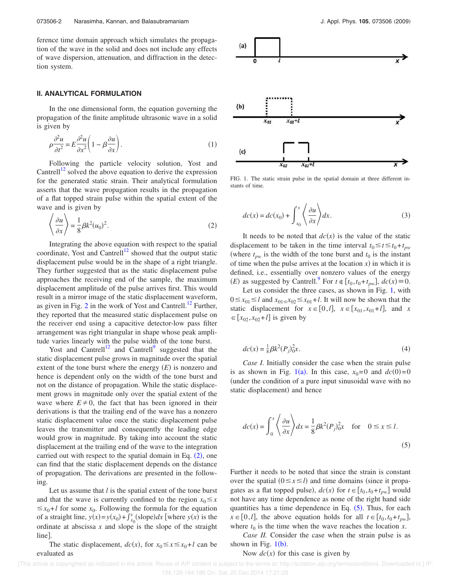ference time domain approach which simulates the propagation of the wave in the solid and does not include any effects of wave dispersion, attenuation, and diffraction in the detection system.

#### **II. ANALYTICAL FORMULATION**

In the one dimensional form, the equation governing the propagation of the finite amplitude ultrasonic wave in a solid is given by

$$
\rho \frac{\partial^2 u}{\partial t^2} = E \frac{\partial^2 u}{\partial x^2} \left( 1 - \beta \frac{\partial u}{\partial x} \right). \tag{1}
$$

Following the particle velocity solution, Yost and Cantrell<sup>12</sup> solved the above equation to derive the expression for the generated static strain. Their analytical formulation asserts that the wave propagation results in the propagation of a flat topped strain pulse within the spatial extent of the wave and is given by

$$
\left\langle \frac{\partial u}{\partial x} \right\rangle = \frac{1}{8} \beta k^2 (u_0)^2.
$$
 (2)

Integrating the above equation with respect to the spatial coordinate, Yost and Cantrell<sup>12</sup> showed that the output static displacement pulse would be in the shape of a right triangle. They further suggested that as the static displacement pulse approaches the receiving end of the sample, the maximum displacement amplitude of the pulse arrives first. This would result in a mirror image of the static displacement waveform, as given in Fig.  $2$  in the work of Yost and Cantrell.<sup>12</sup> Further, they reported that the measured static displacement pulse on the receiver end using a capacitive detector-low pass filter arrangement was right triangular in shape whose peak amplitude varies linearly with the pulse width of the tone burst.

Yost and Cantrell<sup>12</sup> and Cantrell<sup>9</sup> suggested that the static displacement pulse grows in magnitude over the spatial extent of the tone burst where the energy  $(E)$  is nonzero and hence is dependent only on the width of the tone burst and not on the distance of propagation. While the static displacement grows in magnitude only over the spatial extent of the wave where  $E \neq 0$ , the fact that has been ignored in their derivations is that the trailing end of the wave has a nonzero static displacement value once the static displacement pulse leaves the transmitter and consequently the leading edge would grow in magnitude. By taking into account the static displacement at the trailing end of the wave to the integration carried out with respect to the spatial domain in Eq.  $(2)$ , one can find that the static displacement depends on the distance of propagation. The derivations are presented in the following.

Let us assume that *l* is the spatial extent of the tone burst and that the wave is currently confined to the region  $x_0 \leq x$  $\leq x_0 + l$  for some  $x_0$ . Following the formula for the equation of a straight line,  $y(x)=y(x_0)+\int_{x_0}^x$  $\int_{x_0}^{x}$ (slope)*dx* [where *y*(*x*) is the ordinate at abscissa *x* and slope is the slope of the straight line.

The static displacement,  $dc(x)$ , for  $x_0 \le x \le x_0 + l$  can be evaluated as



FIG. 1. The static strain pulse in the spatial domain at three different instants of time.

$$
dc(x) = dc(x_0) + \int_{x_0}^x \left\langle \frac{\partial u}{\partial x} \right\rangle dx.
$$
 (3)

It needs to be noted that  $dc(x)$  is the value of the static displacement to be taken in the time interval  $t_0 \le t \le t_0 + t_{pw}$ (where  $t_{pw}$  is the width of the tone burst and  $t_0$  is the instant of time when the pulse arrives at the location  $x$ ) in which it is defined, i.e., essentially over nonzero values of the energy *(E)* as suggested by Cantrell.<sup>9</sup> For  $t \in [t_0, t_0 + t_{pw}]$ ,  $dc(x) \equiv 0$ .

Let us consider the three cases, as shown in Fig. 1, with  $0 \le x_{01} \le l$  and  $x_{01} \le x_{02} \le x_{01} + l$ . It will now be shown that the static displacement for  $x \in [0, l]$ ,  $x \in [x_{01}, x_{01} + l]$ , and *x*  $\in$  [ $x_{02}$ , $x_{02}$ +*l*] is given by

$$
dc(x) = \frac{1}{8}\beta k^2 (P_j)_0^2 x.
$$
 (4)

*Case I*. Initially consider the case when the strain pulse is as shown in Fig. 1(a). In this case,  $x_0=0$  and  $dc(0)=0$ under the condition of a pure input sinusoidal wave with no static displacement) and hence

$$
dc(x) = \int_0^x \left\langle \frac{\partial u}{\partial x} \right\rangle dx = \frac{1}{8} \beta k^2 (P_j)_0^2 x \quad \text{for} \quad 0 \le x \le l.
$$
 (5)

Further it needs to be noted that since the strain is constant over the spatial  $(0 \le x \le l)$  and time domains (since it propagates as a flat topped pulse),  $dc(x)$  for  $t \in [t_0, t_0+t_{pw}]$  would not have any time dependence as none of the right hand side quantities has a time dependence in Eq.  $(5)$ . Thus, for each  $x \in [0, l]$ , the above equation holds for all  $t \in [t_0, t_0 + t_{pw}]$ , where  $t_0$  is the time when the wave reaches the location  $x$ .

*Case II.* Consider the case when the strain pulse is as shown in Fig.  $1(b)$ .

### Now  $dc(x)$  for this case is given by

 <sup>[</sup>This article is copyrighted as indicated in the article. Reuse of AIP content is subject to the terms at: http://scitation.aip.org/termsconditions. Downloaded to ] IP: 134.129.164.186 On: Sat, 20 Dec 2014 17:21:28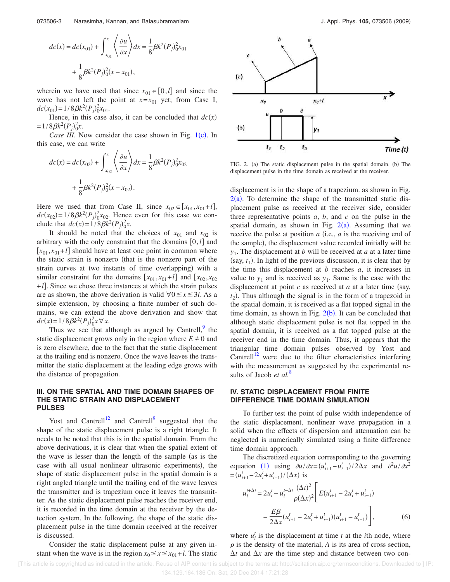$$
dc(x) = dc(x_{01}) + \int_{x_{01}}^{x} \left\langle \frac{\partial u}{\partial x} \right\rangle dx = \frac{1}{8} \beta k^2 (P_j)_{0}^{2} x_{01}
$$

$$
+ \frac{1}{8} \beta k^2 (P_j)_{0}^{2} (x - x_{01}),
$$

wherein we have used that since  $x_{01} \in [0, l]$  and since the wave has not left the point at  $x=x_{01}$  yet; from Case I,  $dc(x_{01}) = 1/8 \beta k^2 (P_j)_{0}^2 x_{01}.$ 

Hence, in this case also, it can be concluded that  $dc(x)$  $=1/8\beta k^2 (P_j)_{0}^2 x.$ 

*Case III*. Now consider the case shown in Fig. 1(c). In this case, we can write

$$
dc(x) = dc(x_{02}) + \int_{x_{02}}^{x} \left\langle \frac{\partial u}{\partial x} \right\rangle dx = \frac{1}{8} \beta k^2 (P_j)_{0}^{2} x_{02}
$$

$$
+ \frac{1}{8} \beta k^2 (P_j)_{0}^{2} (x - x_{02}).
$$

Here we used that from Case II, since  $x_{02} \in [x_{01}, x_{01} + l]$ ,  $dc(x_{02}) = 1/8\beta k^2 (P_j)_{0}^2 x_{02}$ . Hence even for this case we conclude that  $dc(x) = 1/8 \beta k^2 (P_j)_{0}^2 x$ .

It should be noted that the choices of  $x_{01}$  and  $x_{02}$  is arbitrary with the only constraint that the domains  $[0, l]$  and  $[x_{01}, x_{01}+l]$  should have at least one point in common where the static strain is nonzero that is the nonzero part of the strain curves at two instants of time overlapping) with a similar constraint for the domains  $[x_{01}, x_{01}+l]$  and  $[x_{02}, x_{02}]$ +*l*. Since we chose three instances at which the strain pulses are as shown, the above derivation is valid  $\forall 0 \leq x \leq 3l$ . As a simple extension, by choosing a finite number of such domains, we can extend the above derivation and show that  $dc(x) = 1/8 \beta k^2 (P_j)_0^2 x \forall x.$ 

Thus we see that although as argued by Cantrell, $9$  the static displacement grows only in the region where  $E \neq 0$  and is zero elsewhere, due to the fact that the static displacement at the trailing end is nonzero. Once the wave leaves the transmitter the static displacement at the leading edge grows with the distance of propagation.

## **III. ON THE SPATIAL AND TIME DOMAIN SHAPES OF THE STATIC STRAIN AND DISPLACEMENT PULSES**

Yost and Cantrell $12$  and Cantrell<sup>9</sup> suggested that the shape of the static displacement pulse is a right triangle. It needs to be noted that this is in the spatial domain. From the above derivations, it is clear that when the spatial extent of the wave is lesser than the length of the sample (as is the case with all usual nonlinear ultrasonic experiments), the shape of static displacement pulse in the spatial domain is a right angled triangle until the trailing end of the wave leaves the transmitter and is trapezium once it leaves the transmitter. As the static displacement pulse reaches the receiver end, it is recorded in the time domain at the receiver by the detection system. In the following, the shape of the static displacement pulse in the time domain received at the receiver is discussed.

Consider the static displacement pulse at any given instant when the wave is in the region  $x_0 \le x \le x_{01} + l$ . The static



FIG. 2. (a) The static displacement pulse in the spatial domain. (b) The displacement pulse in the time domain as received at the receiver.

displacement is in the shape of a trapezium. as shown in Fig.  $2(a)$ . To determine the shape of the transmitted static displacement pulse as received at the receiver side, consider three representative points *a*, *b*, and *c* on the pulse in the spatial domain, as shown in Fig.  $2(a)$ . Assuming that we receive the pulse at position  $a$  (i.e.,  $a$  is the receiving end of the sample), the displacement value recorded initially will be *y*1 . The displacement at *b* will be received at *a* at a later time  $(say, t<sub>1</sub>)$ . In light of the previous discussion, it is clear that by the time this displacement at *b* reaches *a*, it increases in value to  $y_1$  and is received as  $y_1$ . Same is the case with the displacement at point  $c$  as received at  $a$  at a later time (say,  $t_2$ ). Thus although the signal is in the form of a trapezoid in the spatial domain, it is received as a flat topped signal in the time domain, as shown in Fig.  $2(b)$ . It can be concluded that although static displacement pulse is not flat topped in the spatial domain, it is received as a flat topped pulse at the receiver end in the time domain. Thus, it appears that the triangular time domain pulses observed by Yost and Cantrell<sup>12</sup> were due to the filter characteristics interfering with the measurement as suggested by the experimental results of Jacob *et al.*<sup>8</sup>

## **IV. STATIC DISPLACEMENT FROM FINITE DIFFERENCE TIME DOMAIN SIMULATION**

To further test the point of pulse width independence of the static displacement, nonlinear wave propagation in a solid when the effects of dispersion and attenuation can be neglected is numerically simulated using a finite difference time domain approach.

The discretized equation corresponding to the governing equation (1) using  $\partial u / \partial x = (u_{i+1}^t - u_{i-1}^t) / 2\Delta x$  and  $\partial^2 u / \partial x^2$  $=(u_{i+1}^t - 2u_i^t + u_{i-1}^t)/(\Delta x)$  is

$$
u_i^{t+\Delta t} = 2u_i^t - u_i^{t-\Delta t} \frac{(\Delta t)^2}{\rho(\Delta x)^2} \left[ E(u_{i+1}^t - 2u_i^t + u_{i-1}^t) - \frac{E\beta}{2\Delta x} (u_{i+1}^t - 2u_i^t + u_{i-1}^t)(u_{i+1}^t - u_{i-1}^t) \right],
$$
 (6)

where  $u_i^t$  is the displacement at time  $t$  at the *i*th node, where  $\rho$  is the density of the material,  $A$  is its area of cross section,  $\Delta t$  and  $\Delta x$  are the time step and distance between two con-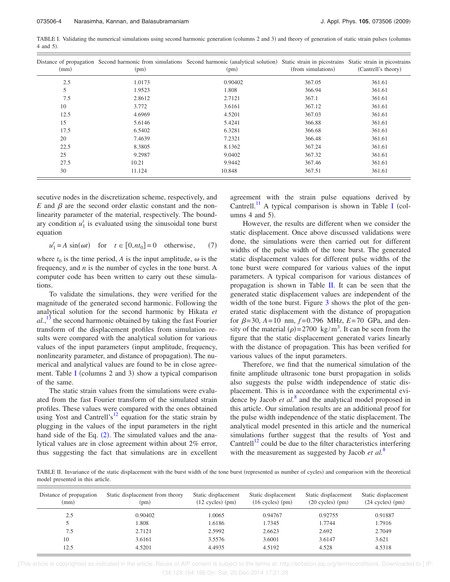TABLE I. Validating the numerical simulations using second harmonic generation (columns 2 and 3) and theory of generation of static strain pulses (columns  $4$  and  $5$ ).

| (mm) | (pm)   | Distance of propagation Second harmonic from simulations Second harmonic (analytical solution) Static strain in picostrains Static strain in picostrains<br>(pm) | (from simulations) | (Cantrell's theory) |  |
|------|--------|------------------------------------------------------------------------------------------------------------------------------------------------------------------|--------------------|---------------------|--|
| 2.5  | 1.0173 | 0.90402                                                                                                                                                          | 367.05             | 361.61              |  |
| 5    | 1.9523 | 1.808                                                                                                                                                            | 366.94             | 361.61              |  |
| 7.5  | 2.8612 | 2.7121                                                                                                                                                           | 367.1              | 361.61              |  |
| 10   | 3.772  | 3.6161                                                                                                                                                           | 367.12             | 361.61              |  |
| 12.5 | 4.6969 | 4.5201                                                                                                                                                           | 367.03             | 361.61              |  |
| 15   | 5.6146 | 5.4241                                                                                                                                                           | 366.88             | 361.61              |  |
| 17.5 | 6.5402 | 6.3281                                                                                                                                                           | 366.68             | 361.61              |  |
| 20   | 7.4639 | 7.2321                                                                                                                                                           | 366.48             | 361.61              |  |
| 22.5 | 8.3805 | 8.1362                                                                                                                                                           | 367.24             | 361.61              |  |
| 25   | 9.2987 | 9.0402                                                                                                                                                           | 367.32             | 361.61              |  |
| 27.5 | 10.21  | 9.9442                                                                                                                                                           | 367.46             | 361.61              |  |
| 30   | 11.124 | 10.848                                                                                                                                                           | 367.51             | 361.61              |  |

secutive nodes in the discretization scheme, respectively, and  $E$  and  $\beta$  are the second order elastic constant and the nonlinearity parameter of the material, respectively. The boundary condition  $u_1^t$  is evaluated using the sinusoidal tone burst equation

$$
u_1^t = A \sin(\omega t) \quad \text{for} \quad t \in [0, nt_0] = 0 \quad \text{otherwise}, \tag{7}
$$

where  $t_0$  is the time period, A is the input amplitude,  $\omega$  is the frequency, and *n* is the number of cycles in the tone burst. A computer code has been written to carry out these simulations.

To validate the simulations, they were verified for the magnitude of the generated second harmonic. Following the analytical solution for the second harmonic by Hikata *et al.*, <sup>13</sup> the second harmonic obtained by taking the fast Fourier transform of the displacement profiles from simulation results were compared with the analytical solution for various values of the input parameters (input amplitude, frequency, nonlinearity parameter, and distance of propagation). The numerical and analytical values are found to be in close agreement. Table I (columns 2 and 3) show a typical comparison of the same.

The static strain values from the simulations were evaluated from the fast Fourier transform of the simulated strain profiles. These values were compared with the ones obtained using Yost and Cantrell's<sup>12</sup> equation for the static strain by plugging in the values of the input parameters in the right hand side of the Eq.  $(2)$ . The simulated values and the analytical values are in close agreement within about 2% error, thus suggesting the fact that simulations are in excellent agreement with the strain pulse equations derived by Cantrell.<sup>11</sup> A typical comparison is shown in Table I (columns  $4$  and  $5$ ).

However, the results are different when we consider the static displacement. Once above discussed validations were done, the simulations were then carried out for different widths of the pulse width of the tone burst. The generated static displacement values for different pulse widths of the tone burst were compared for various values of the input parameters. A typical comparison for various distances of propagation is shown in Table  $II$ . It can be seen that the generated static displacement values are independent of the width of the tone burst. Figure 3 shows the plot of the generated static displacement with the distance of propagation for  $\beta = 30$ ,  $A = 10$  nm,  $f = 0.796$  MHz,  $E = 70$  GPa, and density of the material  $(\rho) = 2700 \text{ kg/m}^3$ . It can be seen from the figure that the static displacement generated varies linearly with the distance of propagation. This has been verified for various values of the input parameters.

Therefore, we find that the numerical simulation of the finite amplitude ultrasonic tone burst propagation in solids also suggests the pulse width independence of static displacement. This is in accordance with the experimental evidence by Jacob *et al.*<sup>8</sup> and the analytical model proposed in this article. Our simulation results are an additional proof for the pulse width independence of the static displacement. The analytical model presented in this article and the numerical simulations further suggest that the results of Yost and Cantrell<sup>12</sup> could be due to the filter characteristics interfering with the measurement as suggested by Jacob *et al.*<sup>8</sup>

TABLE II. Invariance of the static displacement with the burst width of the tone burst (represented as number of cycles) and comparison with the theoretical model presented in this article.

| Distance of propagation<br>(mm) | Static displacement from theory<br>(pm) | Static displacement<br>$(12 \text{ cycles})$ (pm) | Static displacement<br>$(16 \text{ cycles})$ (pm) | Static displacement<br>$(20 \text{ cycles})$ (pm) | Static displacement<br>$(24 \text{ cycles})$ (pm) |
|---------------------------------|-----------------------------------------|---------------------------------------------------|---------------------------------------------------|---------------------------------------------------|---------------------------------------------------|
| 2.5                             | 0.90402                                 | 1.0065                                            | 0.94767                                           | 0.92755                                           | 0.91887                                           |
|                                 | .808                                    | 1.6186                                            | 1.7345                                            | 1.7744                                            | 1.7916                                            |
| 7.5                             | 2.7121                                  | 2.5992                                            | 2.6623                                            | 2.692                                             | 2.7049                                            |
| 10                              | 3.6161                                  | 3.5576                                            | 3.6001                                            | 3.6147                                            | 3.621                                             |
| 12.5                            | 4.5201                                  | 4.4935                                            | 4.5192                                            | 4.528                                             | 4.5318                                            |

 [This article is copyrighted as indicated in the article. Reuse of AIP content is subject to the terms at: http://scitation.aip.org/termsconditions. Downloaded to ] IP: 134.129.164.186 On: Sat, 20 Dec 2014 17:21:28